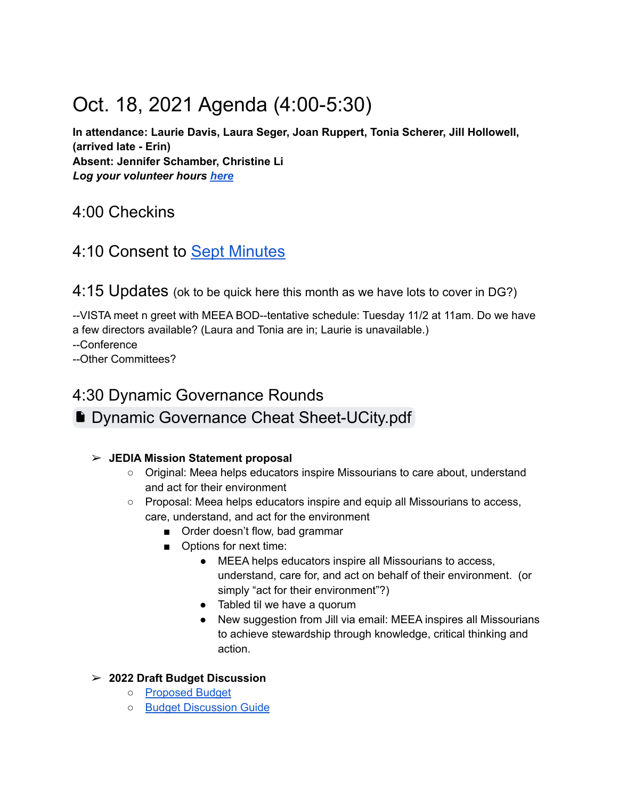# Oct. 18, 2021 Agenda (4:00-5:30)

**In attendance: Laurie Davis, Laura Seger, Joan Ruppert, Tonia Scherer, Jill Hollowell, (arrived late - Erin) Absent: Jennifer Schamber, Christine Li** *Log your volunteer hours [here](https://docs.google.com/forms/d/e/1FAIpQLSeyGs3BdG_sxFAGpjjXzRryj-8Os6pPqOvRnoMgrYpaisbrkw/viewform?usp=sf_link)*

### 4:00 Checkins

### 4:10 Consent to [Sept Minutes](https://docs.google.com/document/d/1thUXNbY0MsxsK3gnj5fyFKUikByCI-JykuE779gAKgE/edit?usp=sharing)

4:15 Updates (ok to be quick here this month as we have lots to cover in DG?)

--VISTA meet n greet with MEEA BOD--tentative schedule: Tuesday 11/2 at 11am. Do we have a few directors available? (Laura and Tonia are in; Laurie is unavailable.)

--Conference

--Other Committees?

## 4:30 Dynamic Governance Rounds ■ [Dynamic Governance Cheat Sheet-UCity.pdf](https://drive.google.com/file/d/16sS0kGlQ0eH5GW9n9eM6jjFxAGQujtpL/view?usp=sharing)

### ➢ **JEDIA Mission Statement proposal**

- Original: Meea helps educators inspire Missourians to care about, understand and act for their environment
- Proposal: Meea helps educators inspire and equip all Missourians to access, care, understand, and act for the environment
	- Order doesn't flow, bad grammar
	- Options for next time:
		- MEEA helps educators inspire all Missourians to access, understand, care for, and act on behalf of their environment. (or simply "act for their environment"?)
		- Tabled til we have a quorum
		- New suggestion from Jill via email: MEEA inspires all Missourians to achieve stewardship through knowledge, critical thinking and action.

### ➢ **2022 Draft Budget Discussion**

- [Proposed Budget](https://drive.google.com/file/d/1_NyC16ekwVaKqUz9r9X18Pbngpod4Xqe/view?usp=sharing)
- [Budget Discussion Guide](https://docs.google.com/document/d/1BW07JipZzB_9xY-44j7z93V9kxhVcH3CC40YWaaX3Ko/edit?usp=sharing)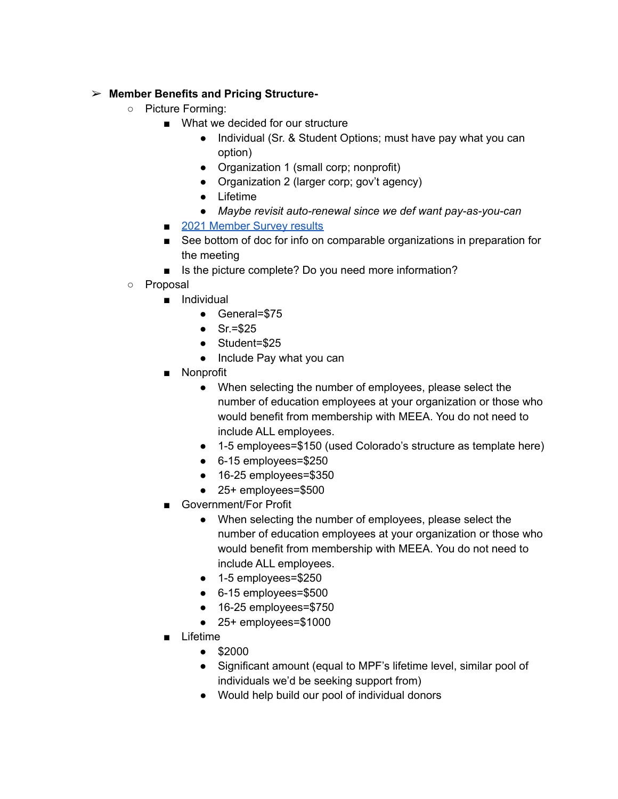#### ➢ **Member Benefits and Pricing Structure-**

- **○** Picture Forming:
	- What we decided for our structure
		- Individual (Sr. & Student Options; must have pay what you can option)
		- Organization 1 (small corp; nonprofit)
		- Organization 2 (larger corp; gov't agency)
		- Lifetime
		- *Maybe revisit auto-renewal since we def want pay-as-you-can*
	- [2021 Member Survey results](https://docs.google.com/forms/d/1al5V-0X4_HdGR75QgwbKmORHbfEaQNNmSqu8hfjV8YM/viewanalytics)
	- See bottom of doc for info on comparable organizations in preparation for the meeting
	- Is the picture complete? Do you need more information?
- Proposal
	- Individual
		- General=\$75
		- $\bullet$  Sr.=\$25
		- Student=\$25
		- Include Pay what you can
	- Nonprofit
		- When selecting the number of employees, please select the number of education employees at your organization or those who would benefit from membership with MEEA. You do not need to include ALL employees.
		- 1-5 employees=\$150 (used Colorado's structure as template here)
		- 6-15 employees=\$250
		- 16-25 employees=\$350
		- 25+ employees=\$500
	- Government/For Profit
		- When selecting the number of employees, please select the number of education employees at your organization or those who would benefit from membership with MEEA. You do not need to include ALL employees.
		- 1-5 employees=\$250
		- 6-15 employees=\$500
		- 16-25 employees=\$750
		- 25+ employees=\$1000
	- Lifetime
		- \$2000
		- Significant amount (equal to MPF's lifetime level, similar pool of individuals we'd be seeking support from)
		- Would help build our pool of individual donors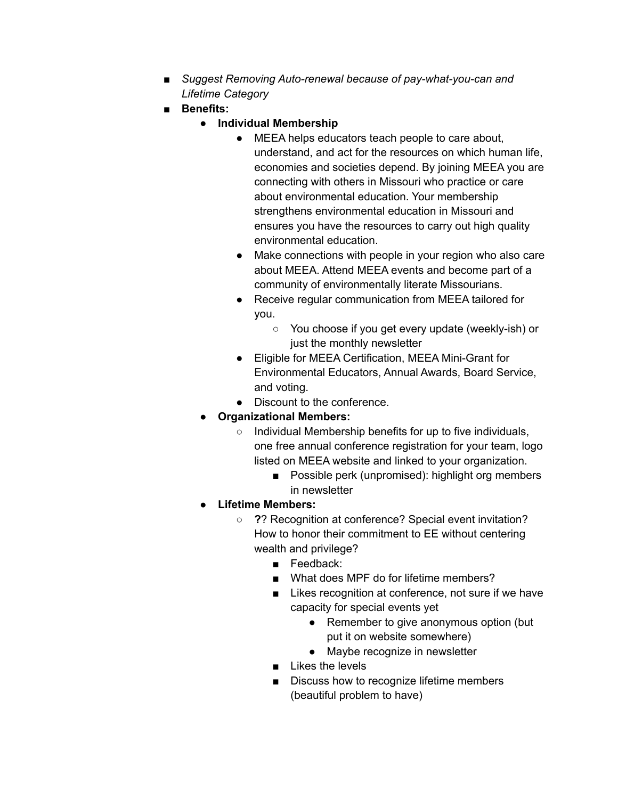- *Suggest Removing Auto-renewal because of pay-what-you-can and Lifetime Category*
- **Benefits:**
	- **Individual Membership**
		- MEEA helps educators teach people to care about, understand, and act for the resources on which human life, economies and societies depend. By joining MEEA you are connecting with others in Missouri who practice or care about environmental education. Your membership strengthens environmental education in Missouri and ensures you have the resources to carry out high quality environmental education.
		- Make connections with people in your region who also care about MEEA. Attend MEEA events and become part of a community of environmentally literate Missourians.
		- Receive regular communication from MEEA tailored for you.
			- You choose if you get every update (weekly-ish) or just the monthly newsletter
		- Eligible for MEEA Certification, MEEA Mini-Grant for Environmental Educators, Annual Awards, Board Service, and voting.
		- Discount to the conference.
	- **Organizational Members:**
		- Individual Membership benefits for up to five individuals, one free annual conference registration for your team, logo listed on MEEA website and linked to your organization.
			- Possible perk (unpromised): highlight org members in newsletter
	- **Lifetime Members:**
		- **?**? Recognition at conference? Special event invitation? How to honor their commitment to EE without centering wealth and privilege?
			- **■** Feedback:
			- What does MPF do for lifetime members?
			- Likes recognition at conference, not sure if we have capacity for special events yet
				- **●** Remember to give anonymous option (but put it on website somewhere)
				- Maybe recognize in newsletter
			- Likes the levels
			- Discuss how to recognize lifetime members (beautiful problem to have)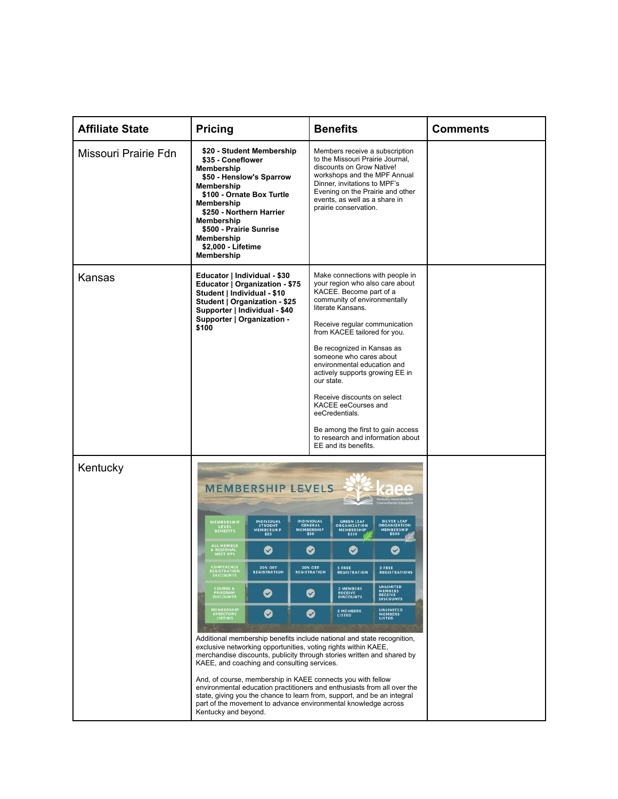| <b>Affiliate State</b> | <b>Pricing</b>                                                                                                                                                                                                                                                                                              |                                                                                                                                                                       | <b>Benefits</b>                                                                                                                                                                                                                                               |                                                          |                                                                             | <b>Comments</b> |
|------------------------|-------------------------------------------------------------------------------------------------------------------------------------------------------------------------------------------------------------------------------------------------------------------------------------------------------------|-----------------------------------------------------------------------------------------------------------------------------------------------------------------------|---------------------------------------------------------------------------------------------------------------------------------------------------------------------------------------------------------------------------------------------------------------|----------------------------------------------------------|-----------------------------------------------------------------------------|-----------------|
| Missouri Prairie Fdn   | \$20 - Student Membership<br>\$35 - Coneflower<br>Membership<br>\$50 - Henslow's Sparrow<br>Membership<br>\$100 - Ornate Box Turtle<br>Membership<br>\$250 - Northern Harrier<br>Membership<br>\$500 - Prairie Sunrise<br>Membership<br>\$2,000 - Lifetime<br>Membership                                    |                                                                                                                                                                       | Members receive a subscription<br>to the Missouri Prairie Journal,<br>discounts on Grow Native!<br>workshops and the MPF Annual<br>Dinner, invitations to MPF's<br>Evening on the Prairie and other<br>events, as well as a share in<br>prairie conservation. |                                                          |                                                                             |                 |
| Kansas                 | Educator   Individual - \$30<br>Educator   Organization - \$75<br>Student   Individual - \$10<br>Student   Organization - \$25<br>Supporter   Individual - \$40<br>Supporter   Organization -<br>\$100                                                                                                      |                                                                                                                                                                       | Make connections with people in<br>your region who also care about<br>KACEE. Become part of a<br>community of environmentally<br>literate Kansans.<br>Receive regular communication                                                                           |                                                          |                                                                             |                 |
|                        |                                                                                                                                                                                                                                                                                                             | from KACEE tailored for you.<br>Be recognized in Kansas as<br>someone who cares about<br>environmental education and<br>actively supports growing EE in<br>our state. |                                                                                                                                                                                                                                                               |                                                          |                                                                             |                 |
|                        |                                                                                                                                                                                                                                                                                                             |                                                                                                                                                                       | Receive discounts on select<br>KACEE eeCourses and<br>eeCredentials.                                                                                                                                                                                          |                                                          |                                                                             |                 |
|                        |                                                                                                                                                                                                                                                                                                             |                                                                                                                                                                       |                                                                                                                                                                                                                                                               | EE and its benefits.                                     | Be among the first to gain access<br>to research and information about      |                 |
| Kentucky               | MEMBERSHIP LEVELS                                                                                                                                                                                                                                                                                           |                                                                                                                                                                       |                                                                                                                                                                                                                                                               |                                                          |                                                                             |                 |
|                        | MEMBERSHIP<br><b>INDIVIDUAL</b><br>STUDENT<br>MEMBERSHIP<br>\$25<br><b>LEVEL</b><br>BENEFITS                                                                                                                                                                                                                |                                                                                                                                                                       | <b>INDIVIDUAL</b><br>GENERAL<br>MEMBERSHIP<br>\$50                                                                                                                                                                                                            | <b>GREEN LEAF</b><br>ORGANIZATION<br>MEMBERSHIP<br>\$250 | <b>SILVER LEAF</b><br><b>ORGANIZATION</b><br>MEMBERSHIP<br>\$500            |                 |
|                        | <b>ALL MEMBER</b><br>❤<br><b>REGIONAL</b><br>MEET UPS<br>ONFERENCE<br><b>20% OFF</b>                                                                                                                                                                                                                        |                                                                                                                                                                       | ❤<br><b>20% OFF</b>                                                                                                                                                                                                                                           | ♡<br>1 FREE                                              | $\sim$<br>2 FREE                                                            |                 |
|                        | <b>REGISTRATION</b><br>DISCOUNTS<br><b>REGISTRATION</b><br><b>COURSE &amp;<br/>PROGRAM</b><br>DISCOUNTS<br>Ø                                                                                                                                                                                                |                                                                                                                                                                       | <b>REGISTRATION</b><br>⊗                                                                                                                                                                                                                                      | <b>REGISTRATION</b><br>2 MEMBERS<br>RECEIVE<br>DISCOUNTS | <b>REGISTRATIONS</b><br><b>UNLIMITED</b><br>MEMBERS<br>RECEIVE<br>DISCOUNTS |                 |
|                        | MEMBERSHIP<br>Ø<br>DIRECTOR<br>LISTING                                                                                                                                                                                                                                                                      |                                                                                                                                                                       | Ø                                                                                                                                                                                                                                                             | 2 MEMBERS<br>LISTED                                      | UNLIMITED<br><b>MEMBERS</b><br><b>LISTED</b>                                |                 |
|                        | Additional membership benefits include national and state recognition,<br>exclusive networking opportunities, voting rights within KAEE,<br>merchandise discounts, publicity through stories written and shared by<br>KAEE, and coaching and consulting services.                                           |                                                                                                                                                                       |                                                                                                                                                                                                                                                               |                                                          |                                                                             |                 |
|                        | And, of course, membership in KAEE connects you with fellow<br>environmental education practitioners and enthusiasts from all over the<br>state, giving you the chance to learn from, support, and be an integral<br>part of the movement to advance environmental knowledge across<br>Kentucky and beyond. |                                                                                                                                                                       |                                                                                                                                                                                                                                                               |                                                          |                                                                             |                 |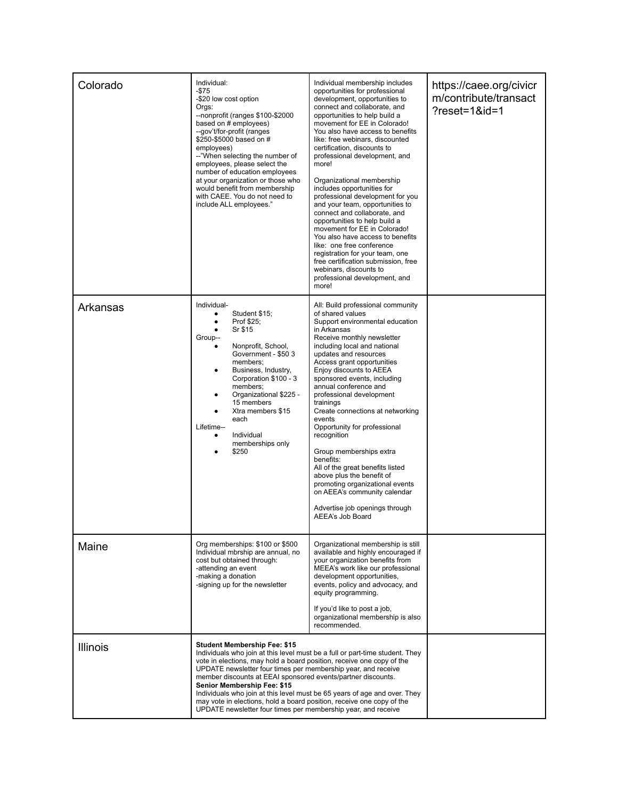| Colorado | Individual:<br>-\$75<br>-\$20 low cost option<br>Orgs:<br>--nonprofit (ranges \$100-\$2000<br>based on # employees)<br>--gov't/for-profit (ranges<br>\$250-\$5000 based on #<br>employees)<br>--"When selecting the number of<br>employees, please select the<br>number of education employees<br>at your organization or those who<br>would benefit from membership<br>with CAEE. You do not need to<br>include ALL employees."                                                                                                                                                    | Individual membership includes<br>opportunities for professional<br>development, opportunities to<br>connect and collaborate, and<br>opportunities to help build a<br>movement for EE in Colorado!<br>You also have access to benefits<br>like: free webinars, discounted<br>certification, discounts to<br>professional development, and<br>more!<br>Organizational membership<br>includes opportunities for<br>professional development for you<br>and your team, opportunities to<br>connect and collaborate, and<br>opportunities to help build a<br>movement for EE in Colorado!<br>You also have access to benefits<br>like: one free conference<br>registration for your team, one<br>free certification submission, free<br>webinars, discounts to<br>professional development, and<br>more! | https://caee.org/civicr<br>m/contribute/transact<br>$?reset = 1$ &id=1 |
|----------|-------------------------------------------------------------------------------------------------------------------------------------------------------------------------------------------------------------------------------------------------------------------------------------------------------------------------------------------------------------------------------------------------------------------------------------------------------------------------------------------------------------------------------------------------------------------------------------|------------------------------------------------------------------------------------------------------------------------------------------------------------------------------------------------------------------------------------------------------------------------------------------------------------------------------------------------------------------------------------------------------------------------------------------------------------------------------------------------------------------------------------------------------------------------------------------------------------------------------------------------------------------------------------------------------------------------------------------------------------------------------------------------------|------------------------------------------------------------------------|
| Arkansas | Individual-<br>Student \$15;<br>Prof \$25;<br>Sr \$15<br>Group--<br>Nonprofit, School,<br>Government - \$50 3<br>members;<br>Business, Industry,<br>Corporation \$100 - 3<br>members;<br>Organizational \$225 -<br>15 members<br>Xtra members \$15<br>each<br>Lifetime--<br>Individual<br>memberships only<br>\$250                                                                                                                                                                                                                                                                 | All: Build professional community<br>of shared values<br>Support environmental education<br>in Arkansas<br>Receive monthly newsletter<br>including local and national<br>updates and resources<br>Access grant opportunities<br>Enjoy discounts to AEEA<br>sponsored events, including<br>annual conference and<br>professional development<br>trainings<br>Create connections at networking<br>events<br>Opportunity for professional<br>recognition<br>Group memberships extra<br>benefits:<br>All of the great benefits listed<br>above plus the benefit of<br>promoting organizational events<br>on AEEA's community calendar<br>Advertise job openings through<br>AEEA's Job Board                                                                                                              |                                                                        |
| Maine    | Org memberships: \$100 or \$500<br>Individual mbrship are annual, no<br>cost but obtained through:<br>-attending an event<br>-making a donation<br>-signing up for the newsletter                                                                                                                                                                                                                                                                                                                                                                                                   | Organizational membership is still<br>available and highly encouraged if<br>vour organization benefits from<br>MEEA's work like our professional<br>development opportunities,<br>events, policy and advocacy, and<br>equity programming.<br>If you'd like to post a job,<br>organizational membership is also<br>recommended.                                                                                                                                                                                                                                                                                                                                                                                                                                                                       |                                                                        |
| Illinois | <b>Student Membership Fee: \$15</b><br>Individuals who join at this level must be a full or part-time student. They<br>vote in elections, may hold a board position, receive one copy of the<br>UPDATE newsletter four times per membership year, and receive<br>member discounts at EEAI sponsored events/partner discounts.<br>Senior Membership Fee: \$15<br>Individuals who join at this level must be 65 years of age and over. They<br>may vote in elections, hold a board position, receive one copy of the<br>UPDATE newsletter four times per membership year, and receive |                                                                                                                                                                                                                                                                                                                                                                                                                                                                                                                                                                                                                                                                                                                                                                                                      |                                                                        |